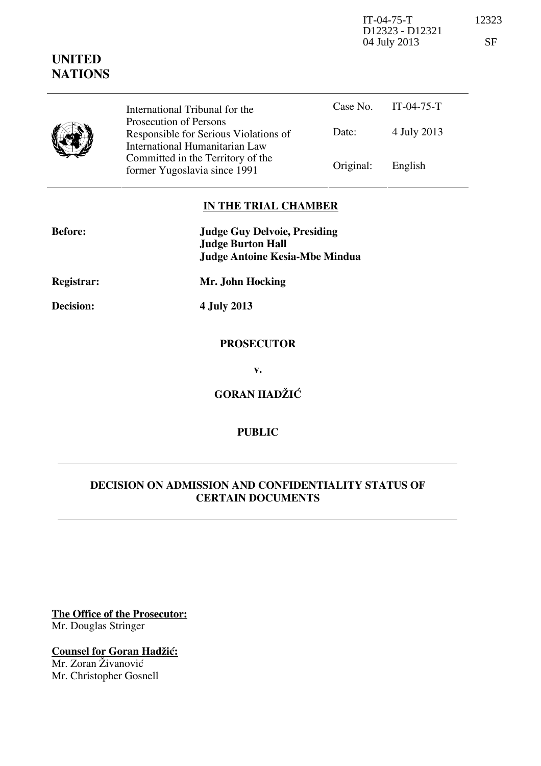IT-04-75-T 12323 D12323 - D12321 04 July 2013 SF

|  | International Tribunal for the                                                                    | Case No.  | $IT-04-75-T$ |
|--|---------------------------------------------------------------------------------------------------|-----------|--------------|
|  | Prosecution of Persons<br>Responsible for Serious Violations of<br>International Humanitarian Law | Date:     | 4 July 2013  |
|  | Committed in the Territory of the<br>former Yugoslavia since 1991                                 | Original: | English      |

## **IN THE TRIAL CHAMBER**

| <b>Before:</b> | <b>Judge Guy Delvoie, Presiding</b><br><b>Judge Burton Hall</b> |  |
|----------------|-----------------------------------------------------------------|--|
|                | <b>Judge Antoine Kesia-Mbe Mindua</b>                           |  |
| Registrar:     | Mr. John Hocking                                                |  |
| Decision:      | 4 July 2013                                                     |  |
|                | <b>PROSECUTOR</b>                                               |  |
|                | v.                                                              |  |
|                | <b>GORAN HADŽIĆ</b>                                             |  |

## **PUBLIC**

## **DECISION ON ADMISSION AND CONFIDENTIALITY STATUS OF CERTAIN DOCUMENTS**

**The Office of the Prosecutor:** Mr. Douglas Stringer

**Counsel for Goran Hadžić:** Mr. Zoran Živanović

Mr. Christopher Gosnell

## **UNITED NATIONS**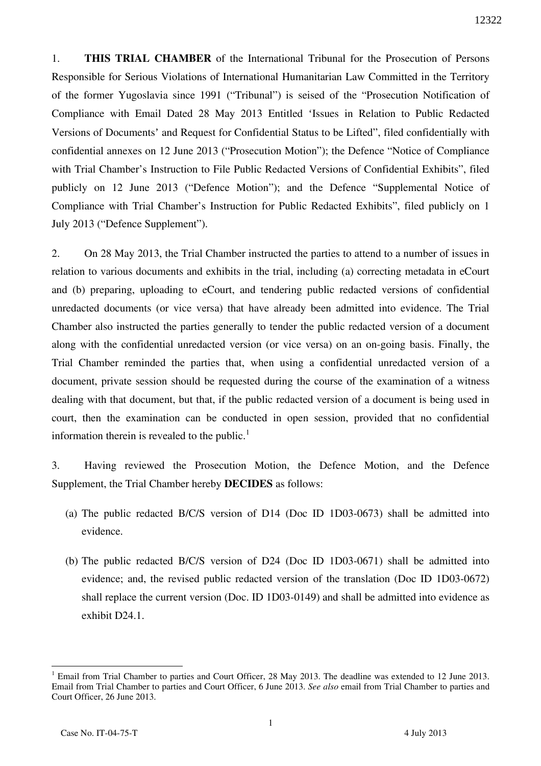1. **THIS TRIAL CHAMBER** of the International Tribunal for the Prosecution of Persons Responsible for Serious Violations of International Humanitarian Law Committed in the Territory of the former Yugoslavia since 1991 ("Tribunal") is seised of the "Prosecution Notification of Compliance with Email Dated 28 May 2013 Entitled 'Issues in Relation to Public Redacted Versions of Documents' and Request for Confidential Status to be Lifted", filed confidentially with confidential annexes on 12 June 2013 ("Prosecution Motion"); the Defence "Notice of Compliance with Trial Chamber's Instruction to File Public Redacted Versions of Confidential Exhibits", filed publicly on 12 June 2013 ("Defence Motion"); and the Defence "Supplemental Notice of Compliance with Trial Chamber's Instruction for Public Redacted Exhibits", filed publicly on 1 July 2013 ("Defence Supplement").

2. On 28 May 2013, the Trial Chamber instructed the parties to attend to a number of issues in relation to various documents and exhibits in the trial, including (a) correcting metadata in eCourt and (b) preparing, uploading to eCourt, and tendering public redacted versions of confidential unredacted documents (or vice versa) that have already been admitted into evidence. The Trial Chamber also instructed the parties generally to tender the public redacted version of a document along with the confidential unredacted version (or vice versa) on an on-going basis. Finally, the Trial Chamber reminded the parties that, when using a confidential unredacted version of a document, private session should be requested during the course of the examination of a witness dealing with that document, but that, if the public redacted version of a document is being used in court, then the examination can be conducted in open session, provided that no confidential information therein is revealed to the public.<sup>1</sup>

3. Having reviewed the Prosecution Motion, the Defence Motion, and the Defence Supplement, the Trial Chamber hereby **DECIDES** as follows:

- (a) The public redacted B/C/S version of D14 (Doc ID 1D03-0673) shall be admitted into evidence.
- (b) The public redacted B/C/S version of D24 (Doc ID 1D03-0671) shall be admitted into evidence; and, the revised public redacted version of the translation (Doc ID 1D03-0672) shall replace the current version (Doc. ID 1D03-0149) and shall be admitted into evidence as exhibit D24.1.

 $\overline{a}$ <sup>1</sup> Email from Trial Chamber to parties and Court Officer, 28 May 2013. The deadline was extended to 12 June 2013. Email from Trial Chamber to parties and Court Officer, 6 June 2013. *See also* email from Trial Chamber to parties and Court Officer, 26 June 2013.